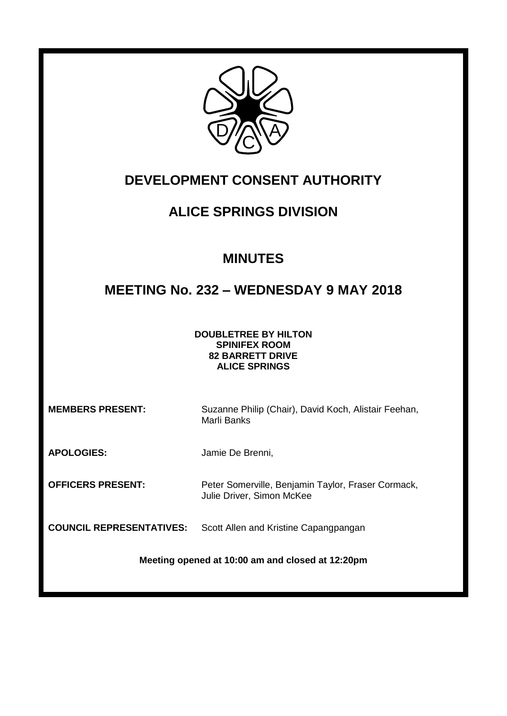

# **DEVELOPMENT CONSENT AUTHORITY**

# **ALICE SPRINGS DIVISION**

# **MINUTES**

# **MEETING No. 232 – WEDNESDAY 9 MAY 2018**

**DOUBLETREE BY HILTON SPINIFEX ROOM 82 BARRETT DRIVE ALICE SPRINGS**

**MEMBERS PRESENT:** Suzanne Philip (Chair), David Koch, Alistair Feehan, Marli Banks

**APOLOGIES:** Jamie De Brenni,

**OFFICERS PRESENT:** Peter Somerville, Benjamin Taylor, Fraser Cormack, Julie Driver, Simon McKee

**COUNCIL REPRESENTATIVES:** Scott Allen and Kristine Capangpangan

**Meeting opened at 10:00 am and closed at 12:20pm**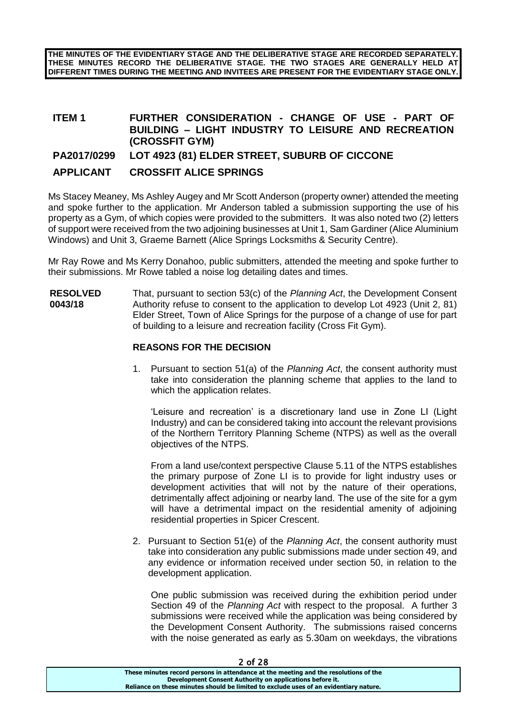**THE MINUTES OF THE EVIDENTIARY STAGE AND THE DELIBERATIVE STAGE ARE RECORDED SEPARATELY. THESE MINUTES RECORD THE DELIBERATIVE STAGE. THE TWO STAGES ARE GENERALLY HELD AT DIFFERENT TIMES DURING THE MEETING AND INVITEES ARE PRESENT FOR THE EVIDENTIARY STAGE ONLY.**

## **ITEM 1 FURTHER CONSIDERATION - CHANGE OF USE - PART OF BUILDING – LIGHT INDUSTRY TO LEISURE AND RECREATION (CROSSFIT GYM)**

**PA2017/0299 LOT 4923 (81) ELDER STREET, SUBURB OF CICCONE** 

## **APPLICANT CROSSFIT ALICE SPRINGS**

Ms Stacey Meaney, Ms Ashley Augey and Mr Scott Anderson (property owner) attended the meeting and spoke further to the application. Mr Anderson tabled a submission supporting the use of his property as a Gym, of which copies were provided to the submitters. It was also noted two (2) letters of support were received from the two adjoining businesses at Unit 1, Sam Gardiner (Alice Aluminium Windows) and Unit 3, Graeme Barnett (Alice Springs Locksmiths & Security Centre).

Mr Ray Rowe and Ms Kerry Donahoo, public submitters, attended the meeting and spoke further to their submissions. Mr Rowe tabled a noise log detailing dates and times.

**RESOLVED 0043/18** That, pursuant to section 53(c) of the *Planning Act*, the Development Consent Authority refuse to consent to the application to develop Lot 4923 (Unit 2, 81) Elder Street, Town of Alice Springs for the purpose of a change of use for part of building to a leisure and recreation facility (Cross Fit Gym).

## **REASONS FOR THE DECISION**

1. Pursuant to section 51(a) of the *Planning Act*, the consent authority must take into consideration the planning scheme that applies to the land to which the application relates.

'Leisure and recreation' is a discretionary land use in Zone LI (Light Industry) and can be considered taking into account the relevant provisions of the Northern Territory Planning Scheme (NTPS) as well as the overall objectives of the NTPS.

From a land use/context perspective Clause 5.11 of the NTPS establishes the primary purpose of Zone LI is to provide for light industry uses or development activities that will not by the nature of their operations, detrimentally affect adjoining or nearby land. The use of the site for a gym will have a detrimental impact on the residential amenity of adjoining residential properties in Spicer Crescent.

2. Pursuant to Section 51(e) of the *Planning Act*, the consent authority must take into consideration any public submissions made under section 49, and any evidence or information received under section 50, in relation to the development application.

One public submission was received during the exhibition period under Section 49 of the *Planning Act* with respect to the proposal. A further 3 submissions were received while the application was being considered by the Development Consent Authority. The submissions raised concerns with the noise generated as early as 5.30am on weekdays, the vibrations

| <u>L VI LU</u>                                                                        |
|---------------------------------------------------------------------------------------|
| These minutes record persons in attendance at the meeting and the resolutions of the  |
| Development Consent Authority on applications before it.                              |
| Reliance on these minutes should be limited to exclude uses of an evidentiary nature. |
|                                                                                       |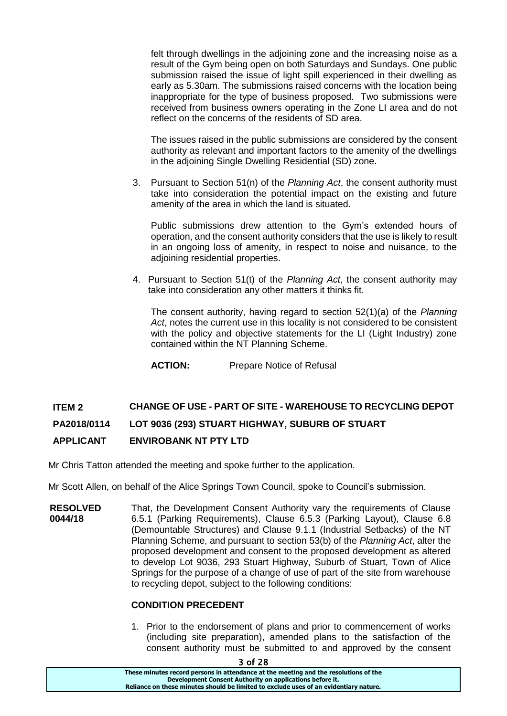felt through dwellings in the adjoining zone and the increasing noise as a result of the Gym being open on both Saturdays and Sundays. One public submission raised the issue of light spill experienced in their dwelling as early as 5.30am. The submissions raised concerns with the location being inappropriate for the type of business proposed. Two submissions were received from business owners operating in the Zone LI area and do not reflect on the concerns of the residents of SD area.

The issues raised in the public submissions are considered by the consent authority as relevant and important factors to the amenity of the dwellings in the adjoining Single Dwelling Residential (SD) zone.

3. Pursuant to Section 51(n) of the *Planning Act*, the consent authority must take into consideration the potential impact on the existing and future amenity of the area in which the land is situated.

Public submissions drew attention to the Gym's extended hours of operation, and the consent authority considers that the use is likely to result in an ongoing loss of amenity, in respect to noise and nuisance, to the adjoining residential properties.

4. Pursuant to Section 51(t) of the *Planning Act*, the consent authority may take into consideration any other matters it thinks fit.

The consent authority, having regard to section 52(1)(a) of the *Planning Act*, notes the current use in this locality is not considered to be consistent with the policy and objective statements for the LI (Light Industry) zone contained within the NT Planning Scheme.

**ACTION:** Prepare Notice of Refusal

# **ITEM 2 CHANGE OF USE - PART OF SITE - WAREHOUSE TO RECYCLING DEPOT PA2018/0114 LOT 9036 (293) STUART HIGHWAY, SUBURB OF STUART**

## **APPLICANT ENVIROBANK NT PTY LTD**

Mr Chris Tatton attended the meeting and spoke further to the application.

Mr Scott Allen, on behalf of the Alice Springs Town Council, spoke to Council's submission.

**RESOLVED 0044/18** That, the Development Consent Authority vary the requirements of Clause 6.5.1 (Parking Requirements), Clause 6.5.3 (Parking Layout), Clause 6.8 (Demountable Structures) and Clause 9.1.1 (Industrial Setbacks) of the NT Planning Scheme, and pursuant to section 53(b) of the *Planning Act*, alter the proposed development and consent to the proposed development as altered to develop Lot 9036, 293 Stuart Highway, Suburb of Stuart, Town of Alice Springs for the purpose of a change of use of part of the site from warehouse to recycling depot, subject to the following conditions:

## **CONDITION PRECEDENT**

1. Prior to the endorsement of plans and prior to commencement of works (including site preparation), amended plans to the satisfaction of the consent authority must be submitted to and approved by the consent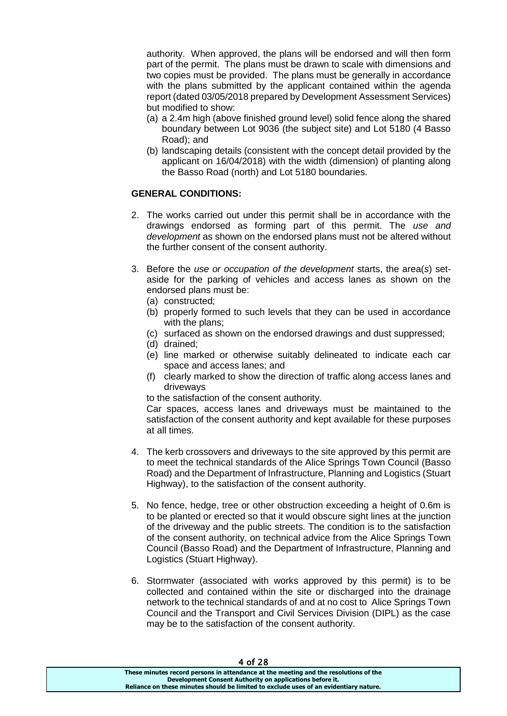authority. When approved, the plans will be endorsed and will then form part of the permit. The plans must be drawn to scale with dimensions and two copies must be provided. The plans must be generally in accordance with the plans submitted by the applicant contained within the agenda report (dated 03/05/2018 prepared by Development Assessment Services) but modified to show:

- (a) a 2.4m high (above finished ground level) solid fence along the shared boundary between Lot 9036 (the subject site) and Lot 5180 (4 Basso Road); and
- (b) landscaping details (consistent with the concept detail provided by the applicant on 16/04/2018) with the width (dimension) of planting along the Basso Road (north) and Lot 5180 boundaries.

## **GENERAL CONDITIONS:**

- 2. The works carried out under this permit shall be in accordance with the drawings endorsed as forming part of this permit. The *use and development* as shown on the endorsed plans must not be altered without the further consent of the consent authority.
- 3. Before the *use or occupation of the development* starts, the area(*s*) setaside for the parking of vehicles and access lanes as shown on the endorsed plans must be:
	- (a) constructed;
	- (b) properly formed to such levels that they can be used in accordance with the plans;
	- (c) surfaced as shown on the endorsed drawings and dust suppressed;
	- (d) drained;
	- (e) line marked or otherwise suitably delineated to indicate each car space and access lanes; and
	- (f) clearly marked to show the direction of traffic along access lanes and driveways

to the satisfaction of the consent authority.

Car spaces, access lanes and driveways must be maintained to the satisfaction of the consent authority and kept available for these purposes at all times.

- 4. The kerb crossovers and driveways to the site approved by this permit are to meet the technical standards of the Alice Springs Town Council (Basso Road) and the Department of Infrastructure, Planning and Logistics (Stuart Highway), to the satisfaction of the consent authority.
- 5. No fence, hedge, tree or other obstruction exceeding a height of 0.6m is to be planted or erected so that it would obscure sight lines at the junction of the driveway and the public streets. The condition is to the satisfaction of the consent authority, on technical advice from the Alice Springs Town Council (Basso Road) and the Department of Infrastructure, Planning and Logistics (Stuart Highway).
- 6. Stormwater (associated with works approved by this permit) is to be collected and contained within the site or discharged into the drainage network to the technical standards of and at no cost to Alice Springs Town Council and the Transport and Civil Services Division (DIPL) as the case may be to the satisfaction of the consent authority.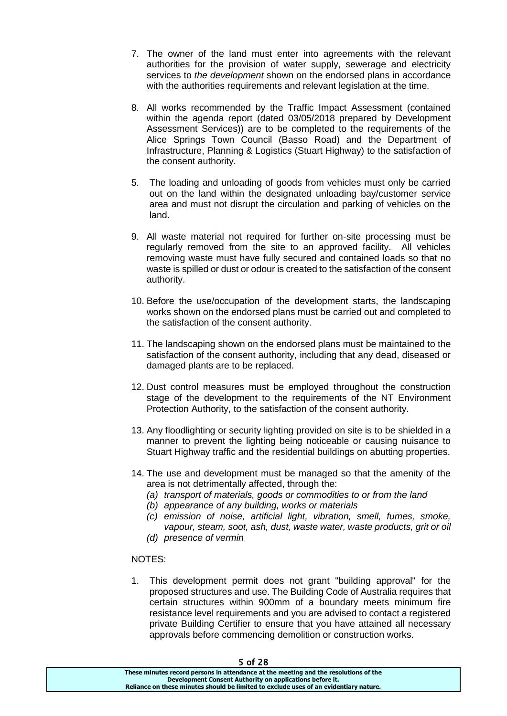- 7. The owner of the land must enter into agreements with the relevant authorities for the provision of water supply, sewerage and electricity services to *the development* shown on the endorsed plans in accordance with the authorities requirements and relevant legislation at the time.
- 8. All works recommended by the Traffic Impact Assessment (contained within the agenda report (dated 03/05/2018 prepared by Development Assessment Services)) are to be completed to the requirements of the Alice Springs Town Council (Basso Road) and the Department of Infrastructure, Planning & Logistics (Stuart Highway) to the satisfaction of the consent authority.
- 5. The loading and unloading of goods from vehicles must only be carried out on the land within the designated unloading bay/customer service area and must not disrupt the circulation and parking of vehicles on the land.
- 9. All waste material not required for further on-site processing must be regularly removed from the site to an approved facility. All vehicles removing waste must have fully secured and contained loads so that no waste is spilled or dust or odour is created to the satisfaction of the consent authority.
- 10. Before the use/occupation of the development starts, the landscaping works shown on the endorsed plans must be carried out and completed to the satisfaction of the consent authority.
- 11. The landscaping shown on the endorsed plans must be maintained to the satisfaction of the consent authority, including that any dead, diseased or damaged plants are to be replaced.
- 12. Dust control measures must be employed throughout the construction stage of the development to the requirements of the NT Environment Protection Authority, to the satisfaction of the consent authority.
- 13. Any floodlighting or security lighting provided on site is to be shielded in a manner to prevent the lighting being noticeable or causing nuisance to Stuart Highway traffic and the residential buildings on abutting properties.
- 14. The use and development must be managed so that the amenity of the area is not detrimentally affected, through the:
	- *(a) transport of materials, goods or commodities to or from the land*
	- *(b) appearance of any building, works or materials*
	- *(c) emission of noise, artificial light, vibration, smell, fumes, smoke, vapour, steam, soot, ash, dust, waste water, waste products, grit or oil (d) presence of vermin*

## NOTES:

1. This development permit does not grant "building approval" for the proposed structures and use. The Building Code of Australia requires that certain structures within 900mm of a boundary meets minimum fire resistance level requirements and you are advised to contact a registered private Building Certifier to ensure that you have attained all necessary approvals before commencing demolition or construction works.

| J VI LV                                                                               |  |
|---------------------------------------------------------------------------------------|--|
| These minutes record persons in attendance at the meeting and the resolutions of the  |  |
| Development Consent Authority on applications before it.                              |  |
| Reliance on these minutes should be limited to exclude uses of an evidentiary nature. |  |
|                                                                                       |  |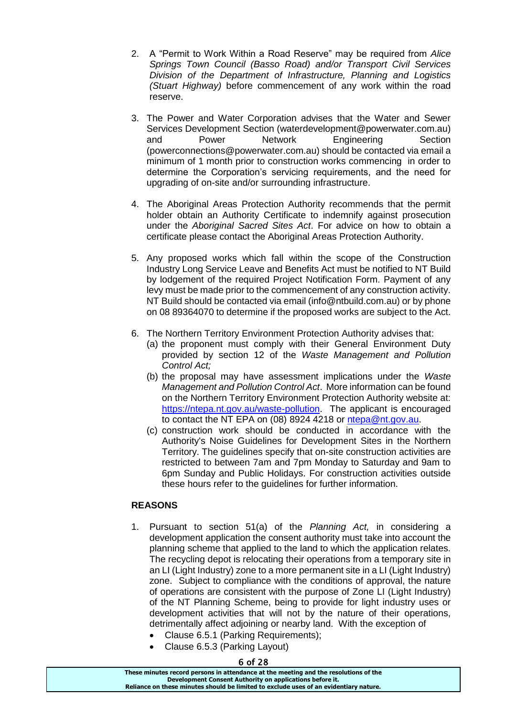- 2. A "Permit to Work Within a Road Reserve" may be required from *Alice Springs Town Council (Basso Road) and/or Transport Civil Services Division of the Department of Infrastructure, Planning and Logistics (Stuart Highway)* before commencement of any work within the road reserve.
- 3. The Power and Water Corporation advises that the Water and Sewer Services Development Section (waterdevelopment@powerwater.com.au) and Power Network Engineering Section (powerconnections@powerwater.com.au) should be contacted via email a minimum of 1 month prior to construction works commencing in order to determine the Corporation's servicing requirements, and the need for upgrading of on-site and/or surrounding infrastructure.
- 4. The Aboriginal Areas Protection Authority recommends that the permit holder obtain an Authority Certificate to indemnify against prosecution under the *Aboriginal Sacred Sites Act*. For advice on how to obtain a certificate please contact the Aboriginal Areas Protection Authority.
- 5. Any proposed works which fall within the scope of the Construction Industry Long Service Leave and Benefits Act must be notified to NT Build by lodgement of the required Project Notification Form. Payment of any levy must be made prior to the commencement of any construction activity. NT Build should be contacted via email (info@ntbuild.com.au) or by phone on 08 89364070 to determine if the proposed works are subject to the Act.
- 6. The Northern Territory Environment Protection Authority advises that:
	- (a) the proponent must comply with their General Environment Duty provided by section 12 of the *Waste Management and Pollution Control Act;*
	- (b) the proposal may have assessment implications under the *Waste Management and Pollution Control Act*. More information can be found on the Northern Territory Environment Protection Authority website at: [https://ntepa.nt.gov.au/waste-pollution.](https://ntepa.nt.gov.au/waste-pollution) The applicant is encouraged to contact the NT EPA on (08) 8924 4218 or [ntepa@nt.gov.au.](mailto:ntepa@nt.gov.au)
	- (c) construction work should be conducted in accordance with the Authority's Noise Guidelines for Development Sites in the Northern Territory. The guidelines specify that on-site construction activities are restricted to between 7am and 7pm Monday to Saturday and 9am to 6pm Sunday and Public Holidays. For construction activities outside these hours refer to the guidelines for further information.

## **REASONS**

- 1. Pursuant to section 51(a) of the *Planning Act,* in considering a development application the consent authority must take into account the planning scheme that applied to the land to which the application relates. The recycling depot is relocating their operations from a temporary site in an LI (Light Industry) zone to a more permanent site in a LI (Light Industry) zone. Subject to compliance with the conditions of approval, the nature of operations are consistent with the purpose of Zone LI (Light Industry) of the NT Planning Scheme, being to provide for light industry uses or development activities that will not by the nature of their operations, detrimentally affect adjoining or nearby land. With the exception of
	- Clause 6.5.1 (Parking Requirements);
	- Clause 6.5.3 (Parking Layout)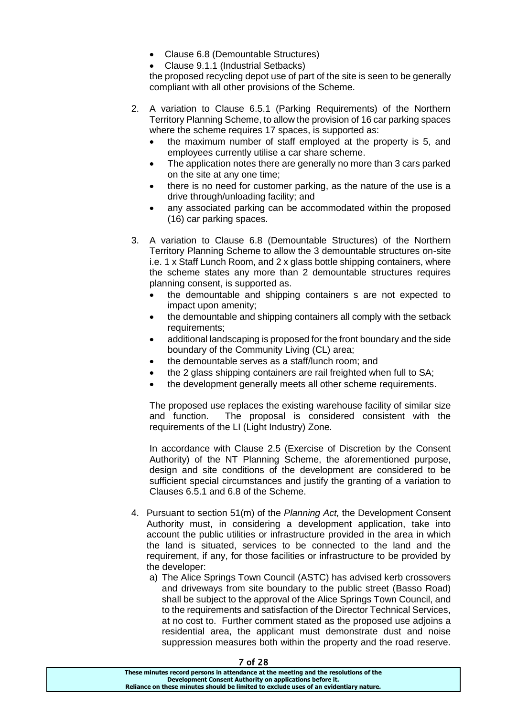- Clause 6.8 (Demountable Structures)
- Clause 9.1.1 (Industrial Setbacks)

the proposed recycling depot use of part of the site is seen to be generally compliant with all other provisions of the Scheme.

- 2. A variation to Clause 6.5.1 (Parking Requirements) of the Northern Territory Planning Scheme, to allow the provision of 16 car parking spaces where the scheme requires 17 spaces, is supported as:
	- the maximum number of staff employed at the property is 5, and employees currently utilise a car share scheme.
	- The application notes there are generally no more than 3 cars parked on the site at any one time;
	- there is no need for customer parking, as the nature of the use is a drive through/unloading facility; and
	- any associated parking can be accommodated within the proposed (16) car parking spaces.
- 3. A variation to Clause 6.8 (Demountable Structures) of the Northern Territory Planning Scheme to allow the 3 demountable structures on-site i.e. 1 x Staff Lunch Room, and 2 x glass bottle shipping containers, where the scheme states any more than 2 demountable structures requires planning consent, is supported as.
	- the demountable and shipping containers s are not expected to impact upon amenity;
	- the demountable and shipping containers all comply with the setback requirements;
	- additional landscaping is proposed for the front boundary and the side boundary of the Community Living (CL) area;
	- the demountable serves as a staff/lunch room; and
	- the 2 glass shipping containers are rail freighted when full to SA;
	- the development generally meets all other scheme requirements.

The proposed use replaces the existing warehouse facility of similar size and function. The proposal is considered consistent with the requirements of the LI (Light Industry) Zone.

In accordance with Clause 2.5 (Exercise of Discretion by the Consent Authority) of the NT Planning Scheme, the aforementioned purpose, design and site conditions of the development are considered to be sufficient special circumstances and justify the granting of a variation to Clauses 6.5.1 and 6.8 of the Scheme.

- 4. Pursuant to section 51(m) of the *Planning Act,* the Development Consent Authority must, in considering a development application, take into account the public utilities or infrastructure provided in the area in which the land is situated, services to be connected to the land and the requirement, if any, for those facilities or infrastructure to be provided by the developer:
	- a) The Alice Springs Town Council (ASTC) has advised kerb crossovers and driveways from site boundary to the public street (Basso Road) shall be subject to the approval of the Alice Springs Town Council, and to the requirements and satisfaction of the Director Technical Services, at no cost to. Further comment stated as the proposed use adjoins a residential area, the applicant must demonstrate dust and noise suppression measures both within the property and the road reserve.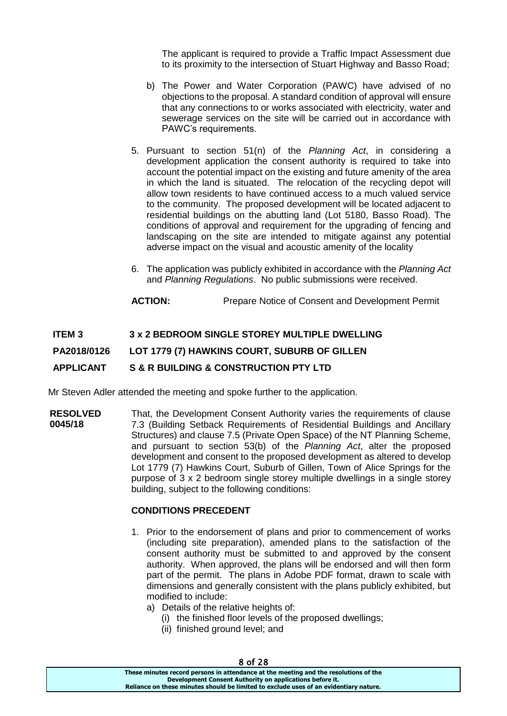The applicant is required to provide a Traffic Impact Assessment due to its proximity to the intersection of Stuart Highway and Basso Road;

- b) The Power and Water Corporation (PAWC) have advised of no objections to the proposal. A standard condition of approval will ensure that any connections to or works associated with electricity, water and sewerage services on the site will be carried out in accordance with PAWC's requirements.
- 5. Pursuant to section 51(n) of the *Planning Act*, in considering a development application the consent authority is required to take into account the potential impact on the existing and future amenity of the area in which the land is situated. The relocation of the recycling depot will allow town residents to have continued access to a much valued service to the community. The proposed development will be located adjacent to residential buildings on the abutting land (Lot 5180, Basso Road). The conditions of approval and requirement for the upgrading of fencing and landscaping on the site are intended to mitigate against any potential adverse impact on the visual and acoustic amenity of the locality
- 6. The application was publicly exhibited in accordance with the *Planning Act*  and *Planning Regulations*. No public submissions were received.
- **ACTION:** Prepare Notice of Consent and Development Permit

## **ITEM 3 3 x 2 BEDROOM SINGLE STOREY MULTIPLE DWELLING PA2018/0126 LOT 1779 (7) HAWKINS COURT, SUBURB OF GILLEN APPLICANT S & R BUILDING & CONSTRUCTION PTY LTD**

Mr Steven Adler attended the meeting and spoke further to the application.

**RESOLVED 0045/18** That, the Development Consent Authority varies the requirements of clause 7.3 (Building Setback Requirements of Residential Buildings and Ancillary Structures) and clause 7.5 (Private Open Space) of the NT Planning Scheme, and pursuant to section 53(b) of the *Planning Act*, alter the proposed development and consent to the proposed development as altered to develop Lot 1779 (7) Hawkins Court, Suburb of Gillen, Town of Alice Springs for the purpose of 3 x 2 bedroom single storey multiple dwellings in a single storey building, subject to the following conditions:

#### **CONDITIONS PRECEDENT**

- 1. Prior to the endorsement of plans and prior to commencement of works (including site preparation), amended plans to the satisfaction of the consent authority must be submitted to and approved by the consent authority. When approved, the plans will be endorsed and will then form part of the permit. The plans in Adobe PDF format, drawn to scale with dimensions and generally consistent with the plans publicly exhibited, but modified to include:
	- a) Details of the relative heights of:
		- (i) the finished floor levels of the proposed dwellings;
		- (ii) finished ground level; and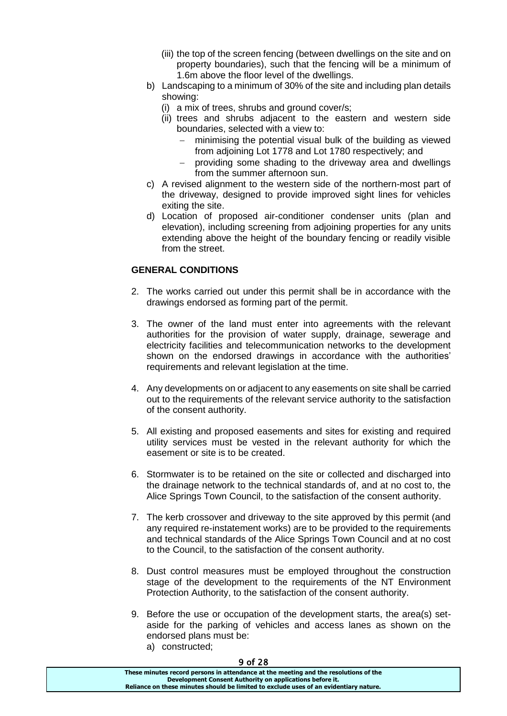- (iii) the top of the screen fencing (between dwellings on the site and on property boundaries), such that the fencing will be a minimum of 1.6m above the floor level of the dwellings.
- b) Landscaping to a minimum of 30% of the site and including plan details showing:
	- (i) a mix of trees, shrubs and ground cover/s;
	- (ii) trees and shrubs adjacent to the eastern and western side boundaries, selected with a view to:
		- minimising the potential visual bulk of the building as viewed from adjoining Lot 1778 and Lot 1780 respectively; and
		- providing some shading to the driveway area and dwellings from the summer afternoon sun.
- c) A revised alignment to the western side of the northern-most part of the driveway, designed to provide improved sight lines for vehicles exiting the site.
- d) Location of proposed air-conditioner condenser units (plan and elevation), including screening from adjoining properties for any units extending above the height of the boundary fencing or readily visible from the street.

## **GENERAL CONDITIONS**

- 2. The works carried out under this permit shall be in accordance with the drawings endorsed as forming part of the permit.
- 3. The owner of the land must enter into agreements with the relevant authorities for the provision of water supply, drainage, sewerage and electricity facilities and telecommunication networks to the development shown on the endorsed drawings in accordance with the authorities' requirements and relevant legislation at the time.
- 4. Any developments on or adjacent to any easements on site shall be carried out to the requirements of the relevant service authority to the satisfaction of the consent authority.
- 5. All existing and proposed easements and sites for existing and required utility services must be vested in the relevant authority for which the easement or site is to be created.
- 6. Stormwater is to be retained on the site or collected and discharged into the drainage network to the technical standards of, and at no cost to, the Alice Springs Town Council, to the satisfaction of the consent authority.
- 7. The kerb crossover and driveway to the site approved by this permit (and any required re-instatement works) are to be provided to the requirements and technical standards of the Alice Springs Town Council and at no cost to the Council, to the satisfaction of the consent authority.
- 8. Dust control measures must be employed throughout the construction stage of the development to the requirements of the NT Environment Protection Authority, to the satisfaction of the consent authority.
- 9. Before the use or occupation of the development starts, the area(s) setaside for the parking of vehicles and access lanes as shown on the endorsed plans must be:
	- a) constructed;

| 3 VI 60                                                                               |
|---------------------------------------------------------------------------------------|
| These minutes record persons in attendance at the meeting and the resolutions of the  |
| Development Consent Authority on applications before it.                              |
| Reliance on these minutes should be limited to exclude uses of an evidentiary nature. |
|                                                                                       |

 $0.999$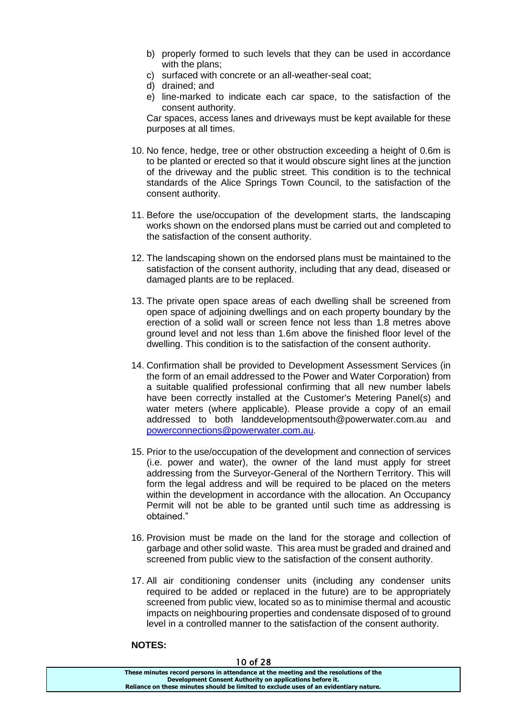- b) properly formed to such levels that they can be used in accordance with the plans:
- c) surfaced with concrete or an all-weather-seal coat;
- d) drained; and
- e) line-marked to indicate each car space, to the satisfaction of the consent authority.

Car spaces, access lanes and driveways must be kept available for these purposes at all times.

- 10. No fence, hedge, tree or other obstruction exceeding a height of 0.6m is to be planted or erected so that it would obscure sight lines at the junction of the driveway and the public street. This condition is to the technical standards of the Alice Springs Town Council, to the satisfaction of the consent authority.
- 11. Before the use/occupation of the development starts, the landscaping works shown on the endorsed plans must be carried out and completed to the satisfaction of the consent authority.
- 12. The landscaping shown on the endorsed plans must be maintained to the satisfaction of the consent authority, including that any dead, diseased or damaged plants are to be replaced.
- 13. The private open space areas of each dwelling shall be screened from open space of adjoining dwellings and on each property boundary by the erection of a solid wall or screen fence not less than 1.8 metres above ground level and not less than 1.6m above the finished floor level of the dwelling. This condition is to the satisfaction of the consent authority.
- 14. Confirmation shall be provided to Development Assessment Services (in the form of an email addressed to the Power and Water Corporation) from a suitable qualified professional confirming that all new number labels have been correctly installed at the Customer's Metering Panel(s) and water meters (where applicable). Please provide a copy of an email addressed to both landdevelopmentsouth@powerwater.com.au and [powerconnections@powerwater.com.au.](mailto:powerconnections@powerwater.com.au)
- 15. Prior to the use/occupation of the development and connection of services (i.e. power and water), the owner of the land must apply for street addressing from the Surveyor-General of the Northern Territory. This will form the legal address and will be required to be placed on the meters within the development in accordance with the allocation. An Occupancy Permit will not be able to be granted until such time as addressing is obtained."
- 16. Provision must be made on the land for the storage and collection of garbage and other solid waste. This area must be graded and drained and screened from public view to the satisfaction of the consent authority.
- 17. All air conditioning condenser units (including any condenser units required to be added or replaced in the future) are to be appropriately screened from public view, located so as to minimise thermal and acoustic impacts on neighbouring properties and condensate disposed of to ground level in a controlled manner to the satisfaction of the consent authority.

#### **NOTES:**

| .                                                                                     |  |
|---------------------------------------------------------------------------------------|--|
| These minutes record persons in attendance at the meeting and the resolutions of the  |  |
| Development Consent Authority on applications before it.                              |  |
| Reliance on these minutes should be limited to exclude uses of an evidentiary nature. |  |
|                                                                                       |  |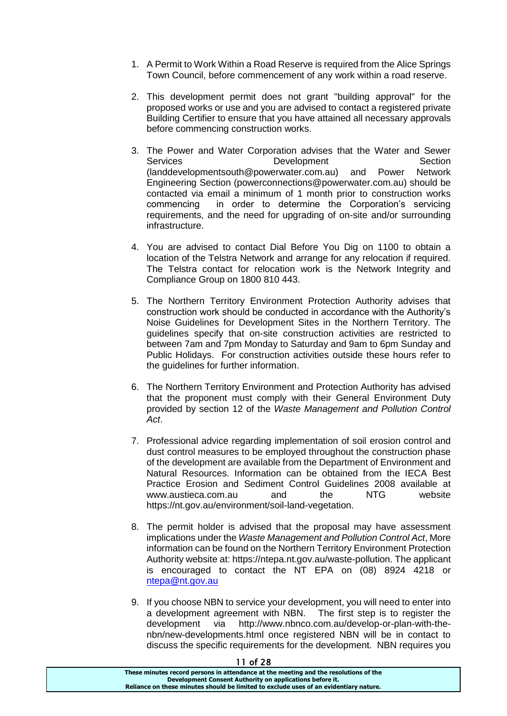- 1. A Permit to Work Within a Road Reserve is required from the Alice Springs Town Council, before commencement of any work within a road reserve.
- 2. This development permit does not grant "building approval" for the proposed works or use and you are advised to contact a registered private Building Certifier to ensure that you have attained all necessary approvals before commencing construction works.
- 3. The Power and Water Corporation advises that the Water and Sewer Services Development Section (landdevelopmentsouth@powerwater.com.au) and Power Network Engineering Section (powerconnections@powerwater.com.au) should be contacted via email a minimum of 1 month prior to construction works commencing in order to determine the Corporation's servicing requirements, and the need for upgrading of on-site and/or surrounding infrastructure.
- 4. You are advised to contact Dial Before You Dig on 1100 to obtain a location of the Telstra Network and arrange for any relocation if required. The Telstra contact for relocation work is the Network Integrity and Compliance Group on 1800 810 443.
- 5. The Northern Territory Environment Protection Authority advises that construction work should be conducted in accordance with the Authority's Noise Guidelines for Development Sites in the Northern Territory. The guidelines specify that on-site construction activities are restricted to between 7am and 7pm Monday to Saturday and 9am to 6pm Sunday and Public Holidays. For construction activities outside these hours refer to the guidelines for further information.
- 6. The Northern Territory Environment and Protection Authority has advised that the proponent must comply with their General Environment Duty provided by section 12 of the *Waste Management and Pollution Control Act*.
- 7. Professional advice regarding implementation of soil erosion control and dust control measures to be employed throughout the construction phase of the development are available from the Department of Environment and Natural Resources. Information can be obtained from the IECA Best Practice Erosion and Sediment Control Guidelines 2008 available at www.austieca.com.au and the NTG website https://nt.gov.au/environment/soil-land-vegetation.
- 8. The permit holder is advised that the proposal may have assessment implications under the *Waste Management and Pollution Control Act*, More information can be found on the Northern Territory Environment Protection Authority website at: https://ntepa.nt.gov.au/waste-pollution. The applicant is encouraged to contact the NT EPA on (08) 8924 4218 or [ntepa@nt.gov.au](mailto:ntepa@nt.gov.au)
- 9. If you choose NBN to service your development, you will need to enter into a development agreement with NBN. The first step is to register the development via http://www.nbnco.com.au/develop-or-plan-with-thenbn/new-developments.html once registered NBN will be in contact to discuss the specific requirements for the development. NBN requires you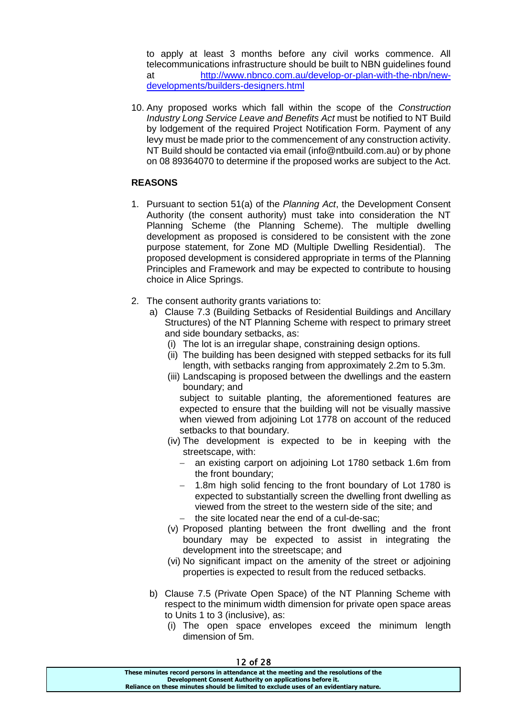to apply at least 3 months before any civil works commence. All telecommunications infrastructure should be built to NBN guidelines found at [http://www.nbnco.com.au/develop-or-plan-with-the-nbn/new](http://www.nbnco.com.au/develop-or-plan-with-the-nbn/new-developments/builders-designers.html)[developments/builders-designers.html](http://www.nbnco.com.au/develop-or-plan-with-the-nbn/new-developments/builders-designers.html)

10. Any proposed works which fall within the scope of the *Construction Industry Long Service Leave and Benefits Act* must be notified to NT Build by lodgement of the required Project Notification Form. Payment of any levy must be made prior to the commencement of any construction activity. NT Build should be contacted via email (info@ntbuild.com.au) or by phone on 08 89364070 to determine if the proposed works are subject to the Act.

## **REASONS**

- 1. Pursuant to section 51(a) of the *Planning Act*, the Development Consent Authority (the consent authority) must take into consideration the NT Planning Scheme (the Planning Scheme). The multiple dwelling development as proposed is considered to be consistent with the zone purpose statement, for Zone MD (Multiple Dwelling Residential). The proposed development is considered appropriate in terms of the Planning Principles and Framework and may be expected to contribute to housing choice in Alice Springs.
- 2. The consent authority grants variations to:
	- a) Clause 7.3 (Building Setbacks of Residential Buildings and Ancillary Structures) of the NT Planning Scheme with respect to primary street and side boundary setbacks, as:
		- (i) The lot is an irregular shape, constraining design options.
		- (ii) The building has been designed with stepped setbacks for its full length, with setbacks ranging from approximately 2.2m to 5.3m.
		- (iii) Landscaping is proposed between the dwellings and the eastern boundary; and

subiect to suitable planting, the aforementioned features are expected to ensure that the building will not be visually massive when viewed from adjoining Lot 1778 on account of the reduced setbacks to that boundary.

- (iv) The development is expected to be in keeping with the streetscape, with:
	- an existing carport on adjoining Lot 1780 setback 1.6m from the front boundary;
	- 1.8m high solid fencing to the front boundary of Lot 1780 is expected to substantially screen the dwelling front dwelling as viewed from the street to the western side of the site; and
	- $-$  the site located near the end of a cul-de-sac;
- (v) Proposed planting between the front dwelling and the front boundary may be expected to assist in integrating the development into the streetscape; and
- (vi) No significant impact on the amenity of the street or adjoining properties is expected to result from the reduced setbacks.
- b) Clause 7.5 (Private Open Space) of the NT Planning Scheme with respect to the minimum width dimension for private open space areas to Units 1 to 3 (inclusive), as:
	- (i) The open space envelopes exceed the minimum length dimension of 5m.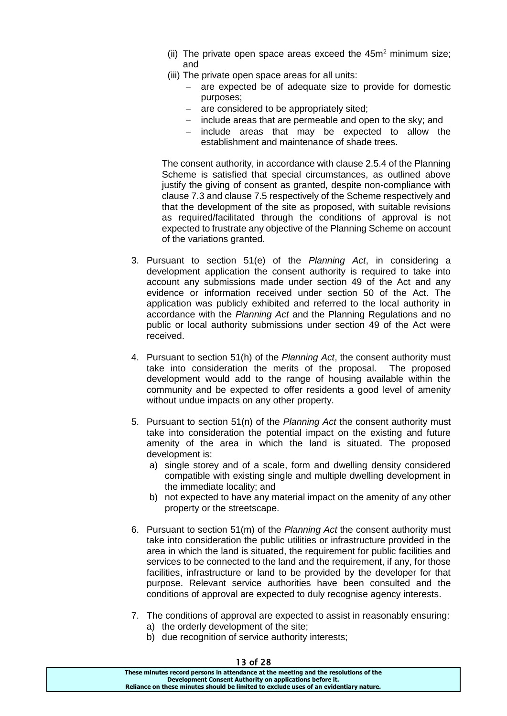- (ii) The private open space areas exceed the  $45m<sup>2</sup>$  minimum size; and
- (iii) The private open space areas for all units:
	- are expected be of adequate size to provide for domestic purposes;
	- are considered to be appropriately sited;
	- include areas that are permeable and open to the sky; and
	- include areas that may be expected to allow the establishment and maintenance of shade trees.

The consent authority, in accordance with clause 2.5.4 of the Planning Scheme is satisfied that special circumstances, as outlined above justify the giving of consent as granted, despite non-compliance with clause 7.3 and clause 7.5 respectively of the Scheme respectively and that the development of the site as proposed, with suitable revisions as required/facilitated through the conditions of approval is not expected to frustrate any objective of the Planning Scheme on account of the variations granted.

- 3. Pursuant to section 51(e) of the *Planning Act*, in considering a development application the consent authority is required to take into account any submissions made under section 49 of the Act and any evidence or information received under section 50 of the Act. The application was publicly exhibited and referred to the local authority in accordance with the *Planning Act* and the Planning Regulations and no public or local authority submissions under section 49 of the Act were received.
- 4. Pursuant to section 51(h) of the *Planning Act*, the consent authority must take into consideration the merits of the proposal. The proposed development would add to the range of housing available within the community and be expected to offer residents a good level of amenity without undue impacts on any other property.
- 5. Pursuant to section 51(n) of the *Planning Act* the consent authority must take into consideration the potential impact on the existing and future amenity of the area in which the land is situated. The proposed development is:
	- a) single storey and of a scale, form and dwelling density considered compatible with existing single and multiple dwelling development in the immediate locality; and
	- b) not expected to have any material impact on the amenity of any other property or the streetscape.
- 6. Pursuant to section 51(m) of the *Planning Act* the consent authority must take into consideration the public utilities or infrastructure provided in the area in which the land is situated, the requirement for public facilities and services to be connected to the land and the requirement, if any, for those facilities, infrastructure or land to be provided by the developer for that purpose. Relevant service authorities have been consulted and the conditions of approval are expected to duly recognise agency interests.
- 7. The conditions of approval are expected to assist in reasonably ensuring: a) the orderly development of the site;
	- b) due recognition of service authority interests;

| 13 O T Z TO                                                                           |  |
|---------------------------------------------------------------------------------------|--|
| These minutes record persons in attendance at the meeting and the resolutions of the  |  |
| Development Consent Authority on applications before it.                              |  |
| Reliance on these minutes should be limited to exclude uses of an evidentiary nature. |  |
|                                                                                       |  |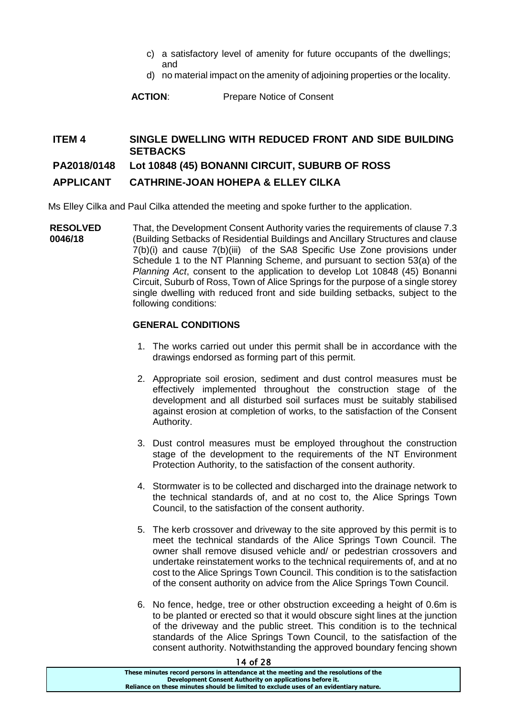- c) a satisfactory level of amenity for future occupants of the dwellings; and
- d) no material impact on the amenity of adjoining properties or the locality.

**ACTION**: Prepare Notice of Consent

## **ITEM 4 SINGLE DWELLING WITH REDUCED FRONT AND SIDE BUILDING SETBACKS**

## **PA2018/0148 Lot 10848 (45) BONANNI CIRCUIT, SUBURB OF ROSS**

## **APPLICANT CATHRINE-JOAN HOHEPA & ELLEY CILKA**

Ms Elley Cilka and Paul Cilka attended the meeting and spoke further to the application.

**RESOLVED 0046/18** That, the Development Consent Authority varies the requirements of clause 7.3 (Building Setbacks of Residential Buildings and Ancillary Structures and clause 7(b)(i) and cause 7(b)(iii) of the SA8 Specific Use Zone provisions under Schedule 1 to the NT Planning Scheme, and pursuant to section 53(a) of the *Planning Act*, consent to the application to develop Lot 10848 (45) Bonanni Circuit, Suburb of Ross, Town of Alice Springs for the purpose of a single storey single dwelling with reduced front and side building setbacks, subject to the following conditions:

## **GENERAL CONDITIONS**

- 1. The works carried out under this permit shall be in accordance with the drawings endorsed as forming part of this permit.
- 2. Appropriate soil erosion, sediment and dust control measures must be effectively implemented throughout the construction stage of the development and all disturbed soil surfaces must be suitably stabilised against erosion at completion of works, to the satisfaction of the Consent Authority.
- 3. Dust control measures must be employed throughout the construction stage of the development to the requirements of the NT Environment Protection Authority, to the satisfaction of the consent authority.
- 4. Stormwater is to be collected and discharged into the drainage network to the technical standards of, and at no cost to, the Alice Springs Town Council, to the satisfaction of the consent authority.
- 5. The kerb crossover and driveway to the site approved by this permit is to meet the technical standards of the Alice Springs Town Council. The owner shall remove disused vehicle and/ or pedestrian crossovers and undertake reinstatement works to the technical requirements of, and at no cost to the Alice Springs Town Council. This condition is to the satisfaction of the consent authority on advice from the Alice Springs Town Council.
- 6. No fence, hedge, tree or other obstruction exceeding a height of 0.6m is to be planted or erected so that it would obscure sight lines at the junction of the driveway and the public street. This condition is to the technical standards of the Alice Springs Town Council, to the satisfaction of the consent authority. Notwithstanding the approved boundary fencing shown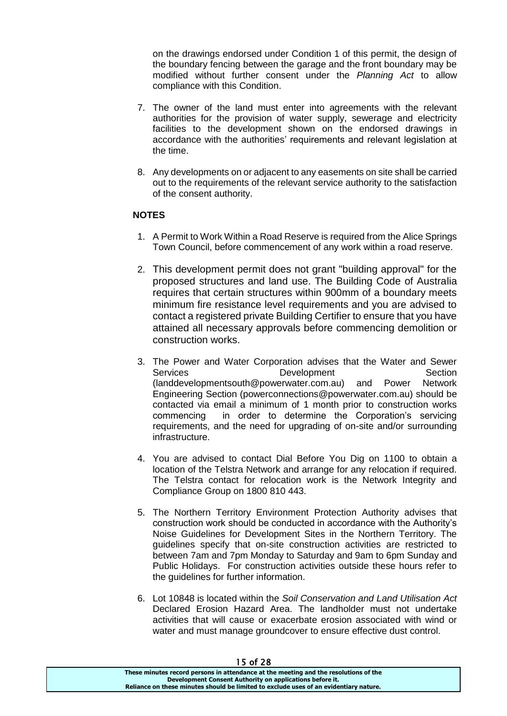on the drawings endorsed under Condition 1 of this permit, the design of the boundary fencing between the garage and the front boundary may be modified without further consent under the *Planning Act* to allow compliance with this Condition.

- 7. The owner of the land must enter into agreements with the relevant authorities for the provision of water supply, sewerage and electricity facilities to the development shown on the endorsed drawings in accordance with the authorities' requirements and relevant legislation at the time.
- 8. Any developments on or adjacent to any easements on site shall be carried out to the requirements of the relevant service authority to the satisfaction of the consent authority.

## **NOTES**

- 1. A Permit to Work Within a Road Reserve is required from the Alice Springs Town Council, before commencement of any work within a road reserve.
- 2. This development permit does not grant "building approval" for the proposed structures and land use. The Building Code of Australia requires that certain structures within 900mm of a boundary meets minimum fire resistance level requirements and you are advised to contact a registered private Building Certifier to ensure that you have attained all necessary approvals before commencing demolition or construction works.
- 3. The Power and Water Corporation advises that the Water and Sewer Services Development Section (landdevelopmentsouth@powerwater.com.au) and Power Network Engineering Section (powerconnections@powerwater.com.au) should be contacted via email a minimum of 1 month prior to construction works commencing in order to determine the Corporation's servicing requirements, and the need for upgrading of on-site and/or surrounding infrastructure.
- 4. You are advised to contact Dial Before You Dig on 1100 to obtain a location of the Telstra Network and arrange for any relocation if required. The Telstra contact for relocation work is the Network Integrity and Compliance Group on 1800 810 443.
- 5. The Northern Territory Environment Protection Authority advises that construction work should be conducted in accordance with the Authority's Noise Guidelines for Development Sites in the Northern Territory. The guidelines specify that on-site construction activities are restricted to between 7am and 7pm Monday to Saturday and 9am to 6pm Sunday and Public Holidays. For construction activities outside these hours refer to the guidelines for further information.
- 6. Lot 10848 is located within the *Soil Conservation and Land Utilisation Act* Declared Erosion Hazard Area. The landholder must not undertake activities that will cause or exacerbate erosion associated with wind or water and must manage groundcover to ensure effective dust control.

| 1 J UI 20                                                                             |  |
|---------------------------------------------------------------------------------------|--|
| These minutes record persons in attendance at the meeting and the resolutions of the  |  |
| Development Consent Authority on applications before it.                              |  |
| Reliance on these minutes should be limited to exclude uses of an evidentiary nature. |  |
|                                                                                       |  |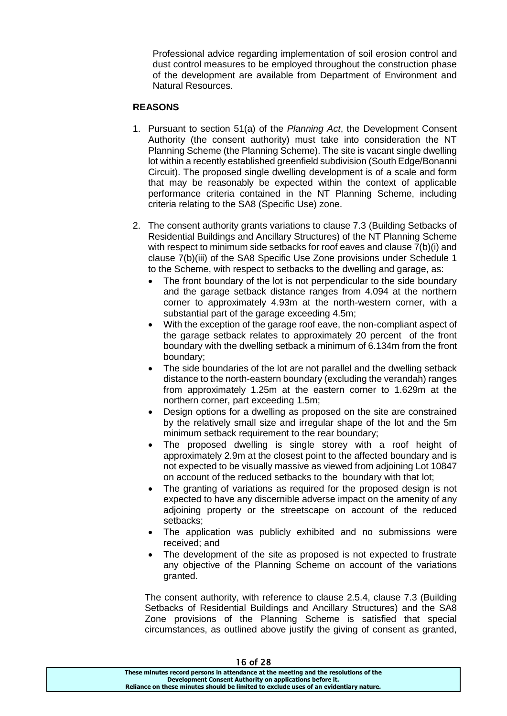Professional advice regarding implementation of soil erosion control and dust control measures to be employed throughout the construction phase of the development are available from Department of Environment and Natural Resources.

## **REASONS**

- 1. Pursuant to section 51(a) of the *Planning Act*, the Development Consent Authority (the consent authority) must take into consideration the NT Planning Scheme (the Planning Scheme). The site is vacant single dwelling lot within a recently established greenfield subdivision (South Edge/Bonanni Circuit). The proposed single dwelling development is of a scale and form that may be reasonably be expected within the context of applicable performance criteria contained in the NT Planning Scheme, including criteria relating to the SA8 (Specific Use) zone.
- 2. The consent authority grants variations to clause 7.3 (Building Setbacks of Residential Buildings and Ancillary Structures) of the NT Planning Scheme with respect to minimum side setbacks for roof eaves and clause  $\overline{7}$ (b)(i) and clause 7(b)(iii) of the SA8 Specific Use Zone provisions under Schedule 1 to the Scheme, with respect to setbacks to the dwelling and garage, as:
	- The front boundary of the lot is not perpendicular to the side boundary and the garage setback distance ranges from 4.094 at the northern corner to approximately 4.93m at the north-western corner, with a substantial part of the garage exceeding 4.5m;
	- With the exception of the garage roof eave, the non-compliant aspect of the garage setback relates to approximately 20 percent of the front boundary with the dwelling setback a minimum of 6.134m from the front boundary;
	- The side boundaries of the lot are not parallel and the dwelling setback distance to the north-eastern boundary (excluding the verandah) ranges from approximately 1.25m at the eastern corner to 1.629m at the northern corner, part exceeding 1.5m;
	- Design options for a dwelling as proposed on the site are constrained by the relatively small size and irregular shape of the lot and the 5m minimum setback requirement to the rear boundary;
	- The proposed dwelling is single storey with a roof height of approximately 2.9m at the closest point to the affected boundary and is not expected to be visually massive as viewed from adjoining Lot 10847 on account of the reduced setbacks to the boundary with that lot;
	- The granting of variations as required for the proposed design is not expected to have any discernible adverse impact on the amenity of any adjoining property or the streetscape on account of the reduced setbacks;
	- The application was publicly exhibited and no submissions were received; and
	- The development of the site as proposed is not expected to frustrate any objective of the Planning Scheme on account of the variations granted.

The consent authority, with reference to clause 2.5.4, clause 7.3 (Building Setbacks of Residential Buildings and Ancillary Structures) and the SA8 Zone provisions of the Planning Scheme is satisfied that special circumstances, as outlined above justify the giving of consent as granted,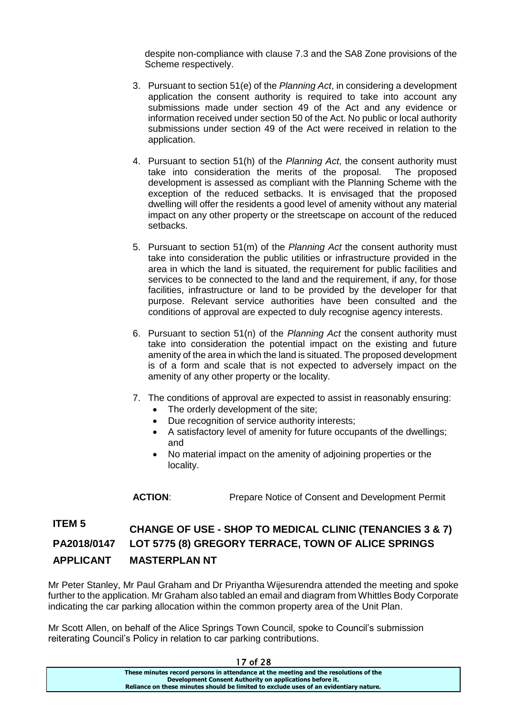despite non-compliance with clause 7.3 and the SA8 Zone provisions of the Scheme respectively.

- 3. Pursuant to section 51(e) of the *Planning Act*, in considering a development application the consent authority is required to take into account any submissions made under section 49 of the Act and any evidence or information received under section 50 of the Act. No public or local authority submissions under section 49 of the Act were received in relation to the application.
- 4. Pursuant to section 51(h) of the *Planning Act*, the consent authority must take into consideration the merits of the proposal. The proposed development is assessed as compliant with the Planning Scheme with the exception of the reduced setbacks. It is envisaged that the proposed dwelling will offer the residents a good level of amenity without any material impact on any other property or the streetscape on account of the reduced setbacks.
- 5. Pursuant to section 51(m) of the *Planning Act* the consent authority must take into consideration the public utilities or infrastructure provided in the area in which the land is situated, the requirement for public facilities and services to be connected to the land and the requirement, if any, for those facilities, infrastructure or land to be provided by the developer for that purpose. Relevant service authorities have been consulted and the conditions of approval are expected to duly recognise agency interests.
- 6. Pursuant to section 51(n) of the *Planning Act* the consent authority must take into consideration the potential impact on the existing and future amenity of the area in which the land is situated. The proposed development is of a form and scale that is not expected to adversely impact on the amenity of any other property or the locality.
- 7. The conditions of approval are expected to assist in reasonably ensuring:
	- The orderly development of the site;
	- Due recognition of service authority interests;
	- A satisfactory level of amenity for future occupants of the dwellings; and
	- No material impact on the amenity of adjoining properties or the locality.

**ACTION**: Prepare Notice of Consent and Development Permit

# **ITEM 5 CHANGE OF USE - SHOP TO MEDICAL CLINIC (TENANCIES 3 & 7) PA2018/0147 LOT 5775 (8) GREGORY TERRACE, TOWN OF ALICE SPRINGS APPLICANT MASTERPLAN NT**

Mr Peter Stanley, Mr Paul Graham and Dr Priyantha Wijesurendra attended the meeting and spoke further to the application. Mr Graham also tabled an email and diagram from Whittles Body Corporate indicating the car parking allocation within the common property area of the Unit Plan.

Mr Scott Allen, on behalf of the Alice Springs Town Council, spoke to Council's submission reiterating Council's Policy in relation to car parking contributions.

| 17 O T 28                                                                             |
|---------------------------------------------------------------------------------------|
| These minutes record persons in attendance at the meeting and the resolutions of the  |
| Development Consent Authority on applications before it.                              |
| Reliance on these minutes should be limited to exclude uses of an evidentiary nature. |
|                                                                                       |

17 coo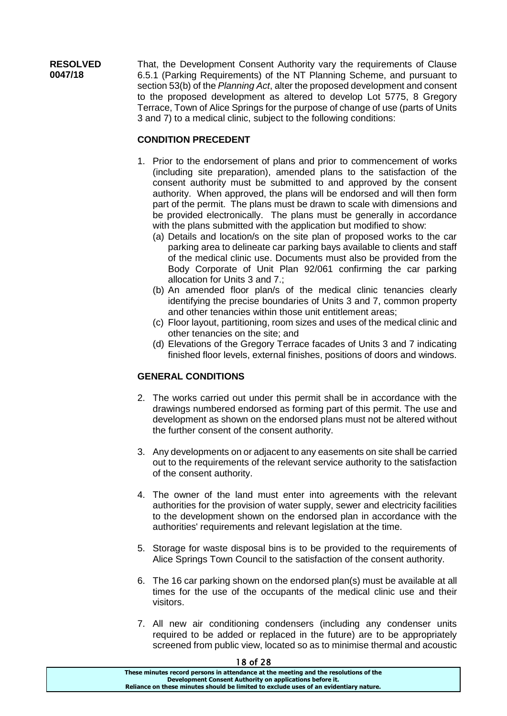**RESOLVED 0047/18** That, the Development Consent Authority vary the requirements of Clause 6.5.1 (Parking Requirements) of the NT Planning Scheme, and pursuant to section 53(b) of the *Planning Act*, alter the proposed development and consent to the proposed development as altered to develop Lot 5775, 8 Gregory Terrace, Town of Alice Springs for the purpose of change of use (parts of Units 3 and 7) to a medical clinic, subject to the following conditions:

## **CONDITION PRECEDENT**

- 1. Prior to the endorsement of plans and prior to commencement of works (including site preparation), amended plans to the satisfaction of the consent authority must be submitted to and approved by the consent authority. When approved, the plans will be endorsed and will then form part of the permit. The plans must be drawn to scale with dimensions and be provided electronically. The plans must be generally in accordance with the plans submitted with the application but modified to show:
	- (a) Details and location/s on the site plan of proposed works to the car parking area to delineate car parking bays available to clients and staff of the medical clinic use. Documents must also be provided from the Body Corporate of Unit Plan 92/061 confirming the car parking allocation for Units 3 and 7.;
	- (b) An amended floor plan/s of the medical clinic tenancies clearly identifying the precise boundaries of Units 3 and 7, common property and other tenancies within those unit entitlement areas;
	- (c) Floor layout, partitioning, room sizes and uses of the medical clinic and other tenancies on the site; and
	- (d) Elevations of the Gregory Terrace facades of Units 3 and 7 indicating finished floor levels, external finishes, positions of doors and windows.

## **GENERAL CONDITIONS**

- 2. The works carried out under this permit shall be in accordance with the drawings numbered endorsed as forming part of this permit. The use and development as shown on the endorsed plans must not be altered without the further consent of the consent authority.
- 3. Any developments on or adjacent to any easements on site shall be carried out to the requirements of the relevant service authority to the satisfaction of the consent authority.
- 4. The owner of the land must enter into agreements with the relevant authorities for the provision of water supply, sewer and electricity facilities to the development shown on the endorsed plan in accordance with the authorities' requirements and relevant legislation at the time.
- 5. Storage for waste disposal bins is to be provided to the requirements of Alice Springs Town Council to the satisfaction of the consent authority.
- 6. The 16 car parking shown on the endorsed plan(s) must be available at all times for the use of the occupants of the medical clinic use and their visitors.
- 7. All new air conditioning condensers (including any condenser units required to be added or replaced in the future) are to be appropriately screened from public view, located so as to minimise thermal and acoustic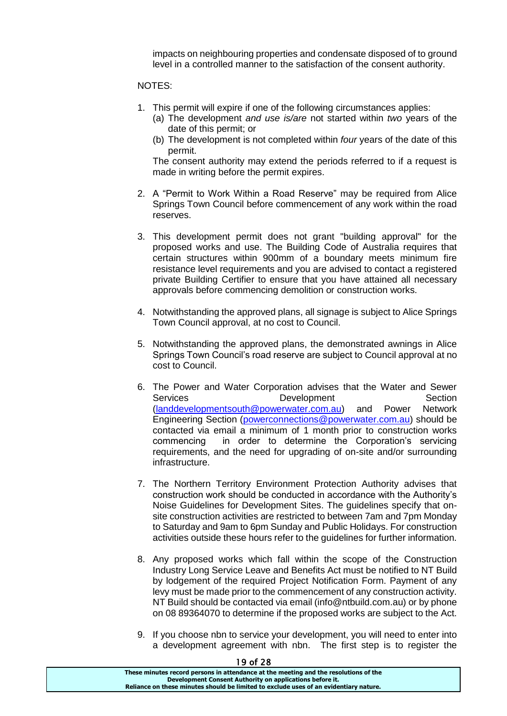impacts on neighbouring properties and condensate disposed of to ground level in a controlled manner to the satisfaction of the consent authority.

#### NOTES:

- 1. This permit will expire if one of the following circumstances applies:
	- (a) The development *and use is/are* not started within *two* years of the date of this permit; or
	- (b) The development is not completed within *four* years of the date of this permit.

The consent authority may extend the periods referred to if a request is made in writing before the permit expires.

- 2. A "Permit to Work Within a Road Reserve" may be required from Alice Springs Town Council before commencement of any work within the road reserves.
- 3. This development permit does not grant "building approval" for the proposed works and use. The Building Code of Australia requires that certain structures within 900mm of a boundary meets minimum fire resistance level requirements and you are advised to contact a registered private Building Certifier to ensure that you have attained all necessary approvals before commencing demolition or construction works.
- 4. Notwithstanding the approved plans, all signage is subject to Alice Springs Town Council approval, at no cost to Council.
- 5. Notwithstanding the approved plans, the demonstrated awnings in Alice Springs Town Council's road reserve are subject to Council approval at no cost to Council.
- 6. The Power and Water Corporation advises that the Water and Sewer Services Development Section [\(landdevelopmentsouth@powerwater.com.au\)](mailto:landdevelopmentsouth@powerwater.com.au) and Power Network Engineering Section [\(powerconnections@powerwater.com.au\)](mailto:powerconnections@powerwater.com.au) should be contacted via email a minimum of 1 month prior to construction works commencing in order to determine the Corporation's servicing requirements, and the need for upgrading of on-site and/or surrounding infrastructure.
- 7. The Northern Territory Environment Protection Authority advises that construction work should be conducted in accordance with the Authority's Noise Guidelines for Development Sites. The guidelines specify that onsite construction activities are restricted to between 7am and 7pm Monday to Saturday and 9am to 6pm Sunday and Public Holidays. For construction activities outside these hours refer to the guidelines for further information.
- 8. Any proposed works which fall within the scope of the Construction Industry Long Service Leave and Benefits Act must be notified to NT Build by lodgement of the required Project Notification Form. Payment of any levy must be made prior to the commencement of any construction activity. NT Build should be contacted via email (info@ntbuild.com.au) or by phone on 08 89364070 to determine if the proposed works are subject to the Act.
- 9. If you choose nbn to service your development, you will need to enter into a development agreement with nbn. The first step is to register the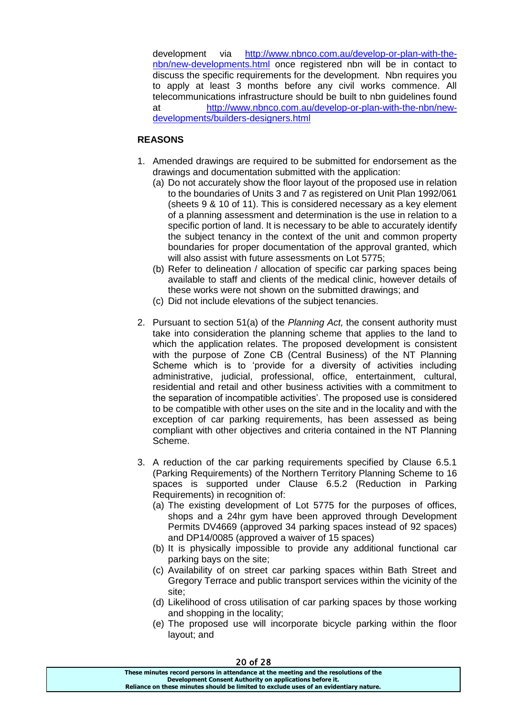development via [http://www.nbnco.com.au/develop-or-plan-with-the](http://www.nbnco.com.au/develop-or-plan-with-the-nbn/new-developments.html)[nbn/new-developments.html](http://www.nbnco.com.au/develop-or-plan-with-the-nbn/new-developments.html) once registered nbn will be in contact to discuss the specific requirements for the development. Nbn requires you to apply at least 3 months before any civil works commence. All telecommunications infrastructure should be built to nbn guidelines found at [http://www.nbnco.com.au/develop-or-plan-with-the-nbn/new](http://www.nbnco.com.au/develop-or-plan-with-the-nbn/new-developments/builders-designers.html)[developments/builders-designers.html](http://www.nbnco.com.au/develop-or-plan-with-the-nbn/new-developments/builders-designers.html)

## **REASONS**

- 1. Amended drawings are required to be submitted for endorsement as the drawings and documentation submitted with the application:
	- (a) Do not accurately show the floor layout of the proposed use in relation to the boundaries of Units 3 and 7 as registered on Unit Plan 1992/061 (sheets 9 & 10 of 11). This is considered necessary as a key element of a planning assessment and determination is the use in relation to a specific portion of land. It is necessary to be able to accurately identify the subject tenancy in the context of the unit and common property boundaries for proper documentation of the approval granted, which will also assist with future assessments on Lot 5775:
	- (b) Refer to delineation / allocation of specific car parking spaces being available to staff and clients of the medical clinic, however details of these works were not shown on the submitted drawings; and
	- (c) Did not include elevations of the subject tenancies.
- 2. Pursuant to section 51(a) of the *Planning Act,* the consent authority must take into consideration the planning scheme that applies to the land to which the application relates. The proposed development is consistent with the purpose of Zone CB (Central Business) of the NT Planning Scheme which is to 'provide for a diversity of activities including administrative, judicial, professional, office, entertainment, cultural, residential and retail and other business activities with a commitment to the separation of incompatible activities'. The proposed use is considered to be compatible with other uses on the site and in the locality and with the exception of car parking requirements, has been assessed as being compliant with other objectives and criteria contained in the NT Planning Scheme.
- 3. A reduction of the car parking requirements specified by Clause 6.5.1 (Parking Requirements) of the Northern Territory Planning Scheme to 16 spaces is supported under Clause 6.5.2 (Reduction in Parking Requirements) in recognition of:
	- (a) The existing development of Lot 5775 for the purposes of offices, shops and a 24hr gym have been approved through Development Permits DV4669 (approved 34 parking spaces instead of 92 spaces) and DP14/0085 (approved a waiver of 15 spaces)
	- (b) It is physically impossible to provide any additional functional car parking bays on the site;
	- (c) Availability of on street car parking spaces within Bath Street and Gregory Terrace and public transport services within the vicinity of the site;
	- (d) Likelihood of cross utilisation of car parking spaces by those working and shopping in the locality;
	- (e) The proposed use will incorporate bicycle parking within the floor layout; and

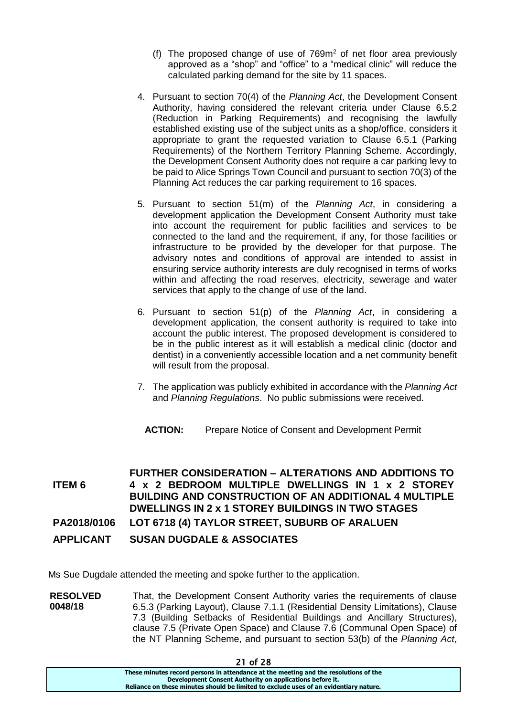- (f) The proposed change of use of  $769m<sup>2</sup>$  of net floor area previously approved as a "shop" and "office" to a "medical clinic" will reduce the calculated parking demand for the site by 11 spaces.
- 4. Pursuant to section 70(4) of the *Planning Act*, the Development Consent Authority, having considered the relevant criteria under Clause 6.5.2 (Reduction in Parking Requirements) and recognising the lawfully established existing use of the subject units as a shop/office, considers it appropriate to grant the requested variation to Clause 6.5.1 (Parking Requirements) of the Northern Territory Planning Scheme. Accordingly, the Development Consent Authority does not require a car parking levy to be paid to Alice Springs Town Council and pursuant to section 70(3) of the Planning Act reduces the car parking requirement to 16 spaces.
- 5. Pursuant to section 51(m) of the *Planning Act*, in considering a development application the Development Consent Authority must take into account the requirement for public facilities and services to be connected to the land and the requirement, if any, for those facilities or infrastructure to be provided by the developer for that purpose. The advisory notes and conditions of approval are intended to assist in ensuring service authority interests are duly recognised in terms of works within and affecting the road reserves, electricity, sewerage and water services that apply to the change of use of the land.
- 6. Pursuant to section 51(p) of the *Planning Act*, in considering a development application, the consent authority is required to take into account the public interest. The proposed development is considered to be in the public interest as it will establish a medical clinic (doctor and dentist) in a conveniently accessible location and a net community benefit will result from the proposal.
- 7. The application was publicly exhibited in accordance with the *Planning Act*  and *Planning Regulations*. No public submissions were received.
	- **ACTION:** Prepare Notice of Consent and Development Permit

**ITEM 6 FURTHER CONSIDERATION – ALTERATIONS AND ADDITIONS TO 4 x 2 BEDROOM MULTIPLE DWELLINGS IN 1 x 2 STOREY BUILDING AND CONSTRUCTION OF AN ADDITIONAL 4 MULTIPLE DWELLINGS IN 2 x 1 STOREY BUILDINGS IN TWO STAGES PA2018/0106 LOT 6718 (4) TAYLOR STREET, SUBURB OF ARALUEN** 

**APPLICANT SUSAN DUGDALE & ASSOCIATES** 

Ms Sue Dugdale attended the meeting and spoke further to the application.

**RESOLVED 0048/18** That, the Development Consent Authority varies the requirements of clause 6.5.3 (Parking Layout), Clause 7.1.1 (Residential Density Limitations), Clause 7.3 (Building Setbacks of Residential Buildings and Ancillary Structures), clause 7.5 (Private Open Space) and Clause 7.6 (Communal Open Space) of the NT Planning Scheme, and pursuant to section 53(b) of the *Planning Act*,

**These minutes record persons in attendance at the meeting and the resolutions of the Development Consent Authority on applications before it. Reliance on these minutes should be limited to exclude uses of an evidentiary nature.**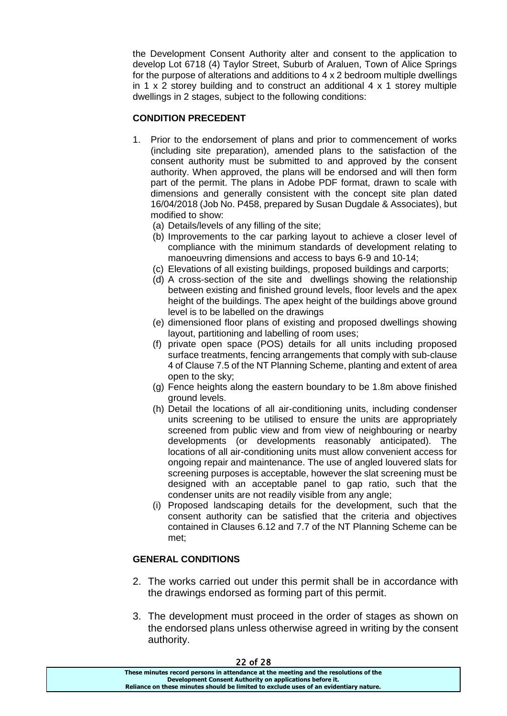the Development Consent Authority alter and consent to the application to develop Lot 6718 (4) Taylor Street, Suburb of Araluen, Town of Alice Springs for the purpose of alterations and additions to 4 x 2 bedroom multiple dwellings in 1  $\times$  2 storey building and to construct an additional 4  $\times$  1 storey multiple dwellings in 2 stages, subject to the following conditions:

## **CONDITION PRECEDENT**

- 1. Prior to the endorsement of plans and prior to commencement of works (including site preparation), amended plans to the satisfaction of the consent authority must be submitted to and approved by the consent authority. When approved, the plans will be endorsed and will then form part of the permit. The plans in Adobe PDF format, drawn to scale with dimensions and generally consistent with the concept site plan dated 16/04/2018 (Job No. P458, prepared by Susan Dugdale & Associates), but modified to show:
	- (a) Details/levels of any filling of the site;
	- (b) Improvements to the car parking layout to achieve a closer level of compliance with the minimum standards of development relating to manoeuvring dimensions and access to bays 6-9 and 10-14;
	- (c) Elevations of all existing buildings, proposed buildings and carports;
	- (d) A cross-section of the site and dwellings showing the relationship between existing and finished ground levels, floor levels and the apex height of the buildings. The apex height of the buildings above ground level is to be labelled on the drawings
	- (e) dimensioned floor plans of existing and proposed dwellings showing layout, partitioning and labelling of room uses;
	- (f) private open space (POS) details for all units including proposed surface treatments, fencing arrangements that comply with sub-clause 4 of Clause 7.5 of the NT Planning Scheme, planting and extent of area open to the sky;
	- (g) Fence heights along the eastern boundary to be 1.8m above finished ground levels.
	- (h) Detail the locations of all air-conditioning units, including condenser units screening to be utilised to ensure the units are appropriately screened from public view and from view of neighbouring or nearby developments (or developments reasonably anticipated). The locations of all air-conditioning units must allow convenient access for ongoing repair and maintenance. The use of angled louvered slats for screening purposes is acceptable, however the slat screening must be designed with an acceptable panel to gap ratio, such that the condenser units are not readily visible from any angle;
	- (i) Proposed landscaping details for the development, such that the consent authority can be satisfied that the criteria and objectives contained in Clauses 6.12 and 7.7 of the NT Planning Scheme can be met;

## **GENERAL CONDITIONS**

- 2. The works carried out under this permit shall be in accordance with the drawings endorsed as forming part of this permit.
- 3. The development must proceed in the order of stages as shown on the endorsed plans unless otherwise agreed in writing by the consent authority.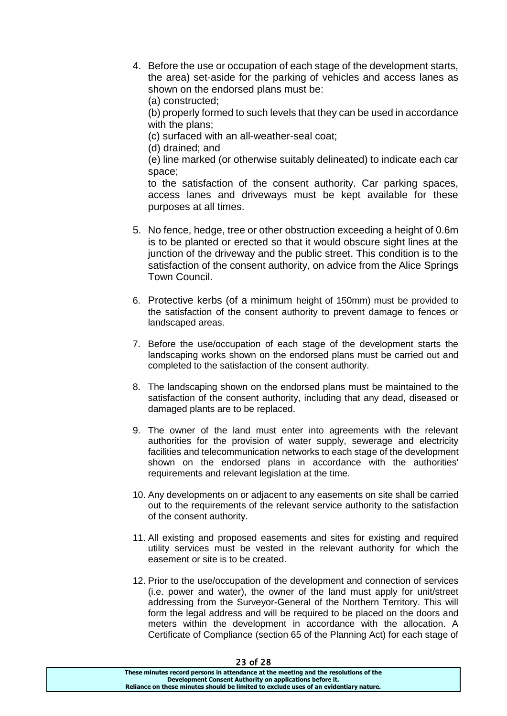4. Before the use or occupation of each stage of the development starts, the area) set-aside for the parking of vehicles and access lanes as shown on the endorsed plans must be:

(a) constructed;

(b) properly formed to such levels that they can be used in accordance with the plans;

(c) surfaced with an all-weather-seal coat;

(d) drained; and

(e) line marked (or otherwise suitably delineated) to indicate each car space;

to the satisfaction of the consent authority. Car parking spaces, access lanes and driveways must be kept available for these purposes at all times.

- 5. No fence, hedge, tree or other obstruction exceeding a height of 0.6m is to be planted or erected so that it would obscure sight lines at the junction of the driveway and the public street. This condition is to the satisfaction of the consent authority, on advice from the Alice Springs Town Council.
- 6. Protective kerbs (of a minimum height of 150mm) must be provided to the satisfaction of the consent authority to prevent damage to fences or landscaped areas.
- 7. Before the use/occupation of each stage of the development starts the landscaping works shown on the endorsed plans must be carried out and completed to the satisfaction of the consent authority.
- 8. The landscaping shown on the endorsed plans must be maintained to the satisfaction of the consent authority, including that any dead, diseased or damaged plants are to be replaced.
- 9. The owner of the land must enter into agreements with the relevant authorities for the provision of water supply, sewerage and electricity facilities and telecommunication networks to each stage of the development shown on the endorsed plans in accordance with the authorities' requirements and relevant legislation at the time.
- 10. Any developments on or adjacent to any easements on site shall be carried out to the requirements of the relevant service authority to the satisfaction of the consent authority.
- 11. All existing and proposed easements and sites for existing and required utility services must be vested in the relevant authority for which the easement or site is to be created.
- 12. Prior to the use/occupation of the development and connection of services (i.e. power and water), the owner of the land must apply for unit/street addressing from the Surveyor-General of the Northern Territory. This will form the legal address and will be required to be placed on the doors and meters within the development in accordance with the allocation. A Certificate of Compliance (section 65 of the Planning Act) for each stage of

| LJ VI LO                                                                              |
|---------------------------------------------------------------------------------------|
| These minutes record persons in attendance at the meeting and the resolutions of the  |
| Development Consent Authority on applications before it.                              |
| Reliance on these minutes should be limited to exclude uses of an evidentiary nature. |
|                                                                                       |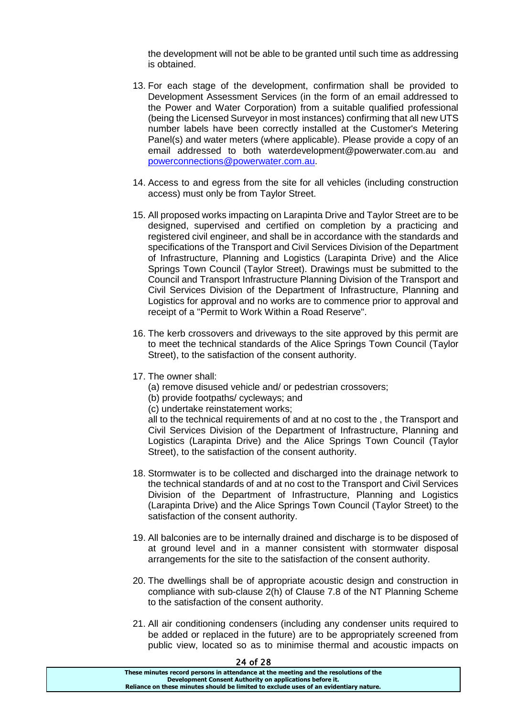the development will not be able to be granted until such time as addressing is obtained.

- 13. For each stage of the development, confirmation shall be provided to Development Assessment Services (in the form of an email addressed to the Power and Water Corporation) from a suitable qualified professional (being the Licensed Surveyor in most instances) confirming that all new UTS number labels have been correctly installed at the Customer's Metering Panel(s) and water meters (where applicable). Please provide a copy of an email addressed to both waterdevelopment@powerwater.com.au and [powerconnections@powerwater.com.au.](mailto:powerconnections@powerwater.com.au)
- 14. Access to and egress from the site for all vehicles (including construction access) must only be from Taylor Street.
- 15. All proposed works impacting on Larapinta Drive and Taylor Street are to be designed, supervised and certified on completion by a practicing and registered civil engineer, and shall be in accordance with the standards and specifications of the Transport and Civil Services Division of the Department of Infrastructure, Planning and Logistics (Larapinta Drive) and the Alice Springs Town Council (Taylor Street). Drawings must be submitted to the Council and Transport Infrastructure Planning Division of the Transport and Civil Services Division of the Department of Infrastructure, Planning and Logistics for approval and no works are to commence prior to approval and receipt of a "Permit to Work Within a Road Reserve".
- 16. The kerb crossovers and driveways to the site approved by this permit are to meet the technical standards of the Alice Springs Town Council (Taylor Street), to the satisfaction of the consent authority.
- 17. The owner shall:
	- (a) remove disused vehicle and/ or pedestrian crossovers;
	- (b) provide footpaths/ cycleways; and
	- (c) undertake reinstatement works;

all to the technical requirements of and at no cost to the , the Transport and Civil Services Division of the Department of Infrastructure, Planning and Logistics (Larapinta Drive) and the Alice Springs Town Council (Taylor Street), to the satisfaction of the consent authority.

- 18. Stormwater is to be collected and discharged into the drainage network to the technical standards of and at no cost to the Transport and Civil Services Division of the Department of Infrastructure, Planning and Logistics (Larapinta Drive) and the Alice Springs Town Council (Taylor Street) to the satisfaction of the consent authority.
- 19. All balconies are to be internally drained and discharge is to be disposed of at ground level and in a manner consistent with stormwater disposal arrangements for the site to the satisfaction of the consent authority.
- 20. The dwellings shall be of appropriate acoustic design and construction in compliance with sub-clause 2(h) of Clause 7.8 of the NT Planning Scheme to the satisfaction of the consent authority.
- 21. All air conditioning condensers (including any condenser units required to be added or replaced in the future) are to be appropriately screened from public view, located so as to minimise thermal and acoustic impacts on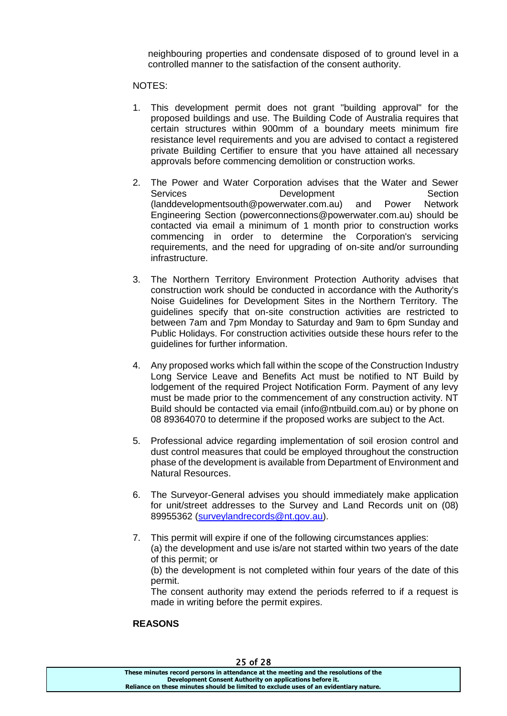neighbouring properties and condensate disposed of to ground level in a controlled manner to the satisfaction of the consent authority.

#### NOTES:

- 1. This development permit does not grant "building approval" for the proposed buildings and use. The Building Code of Australia requires that certain structures within 900mm of a boundary meets minimum fire resistance level requirements and you are advised to contact a registered private Building Certifier to ensure that you have attained all necessary approvals before commencing demolition or construction works.
- 2. The Power and Water Corporation advises that the Water and Sewer Services **Development** Development Section (landdevelopmentsouth@powerwater.com.au) and Power Network Engineering Section (powerconnections@powerwater.com.au) should be contacted via email a minimum of 1 month prior to construction works commencing in order to determine the Corporation's servicing requirements, and the need for upgrading of on-site and/or surrounding infrastructure.
- 3. The Northern Territory Environment Protection Authority advises that construction work should be conducted in accordance with the Authority's Noise Guidelines for Development Sites in the Northern Territory. The guidelines specify that on-site construction activities are restricted to between 7am and 7pm Monday to Saturday and 9am to 6pm Sunday and Public Holidays. For construction activities outside these hours refer to the guidelines for further information.
- 4. Any proposed works which fall within the scope of the Construction Industry Long Service Leave and Benefits Act must be notified to NT Build by lodgement of the required Project Notification Form. Payment of any levy must be made prior to the commencement of any construction activity. NT Build should be contacted via email (info@ntbuild.com.au) or by phone on 08 89364070 to determine if the proposed works are subject to the Act.
- 5. Professional advice regarding implementation of soil erosion control and dust control measures that could be employed throughout the construction phase of the development is available from Department of Environment and Natural Resources.
- 6. The Surveyor-General advises you should immediately make application for unit/street addresses to the Survey and Land Records unit on (08) 89955362 [\(surveylandrecords@nt.gov.au\)](mailto:surveylandrecords@nt.gov.au).
- 7. This permit will expire if one of the following circumstances applies: (a) the development and use is/are not started within two years of the date of this permit; or

(b) the development is not completed within four years of the date of this permit.

The consent authority may extend the periods referred to if a request is made in writing before the permit expires.

#### **REASONS**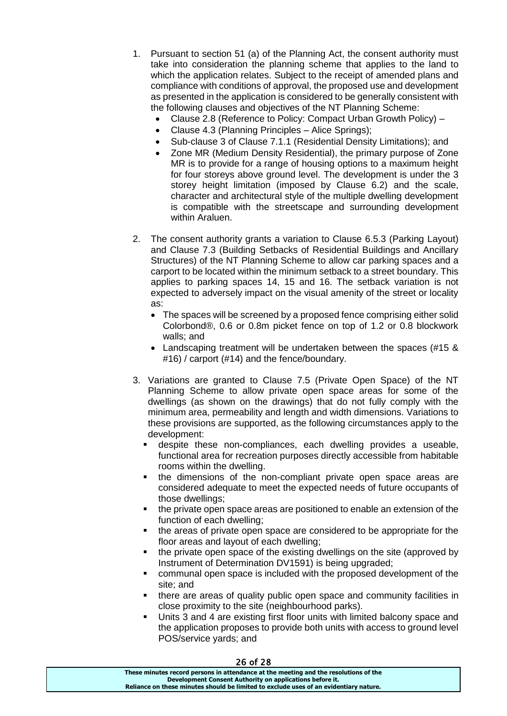- 1. Pursuant to section 51 (a) of the Planning Act, the consent authority must take into consideration the planning scheme that applies to the land to which the application relates. Subject to the receipt of amended plans and compliance with conditions of approval, the proposed use and development as presented in the application is considered to be generally consistent with the following clauses and objectives of the NT Planning Scheme:
	- Clause 2.8 (Reference to Policy: Compact Urban Growth Policy) –
	- Clause 4.3 (Planning Principles Alice Springs):
	- Sub-clause 3 of Clause 7.1.1 (Residential Density Limitations); and
	- Zone MR (Medium Density Residential), the primary purpose of Zone MR is to provide for a range of housing options to a maximum height for four storeys above ground level. The development is under the 3 storey height limitation (imposed by Clause 6.2) and the scale, character and architectural style of the multiple dwelling development is compatible with the streetscape and surrounding development within Araluen.
- 2. The consent authority grants a variation to Clause 6.5.3 (Parking Layout) and Clause 7.3 (Building Setbacks of Residential Buildings and Ancillary Structures) of the NT Planning Scheme to allow car parking spaces and a carport to be located within the minimum setback to a street boundary. This applies to parking spaces 14, 15 and 16. The setback variation is not expected to adversely impact on the visual amenity of the street or locality as:
	- The spaces will be screened by a proposed fence comprising either solid Colorbond®, 0.6 or 0.8m picket fence on top of 1.2 or 0.8 blockwork walls; and
	- Landscaping treatment will be undertaken between the spaces (#15 & #16) / carport (#14) and the fence/boundary.
- 3. Variations are granted to Clause 7.5 (Private Open Space) of the NT Planning Scheme to allow private open space areas for some of the dwellings (as shown on the drawings) that do not fully comply with the minimum area, permeability and length and width dimensions. Variations to these provisions are supported, as the following circumstances apply to the development:
	- despite these non-compliances, each dwelling provides a useable, functional area for recreation purposes directly accessible from habitable rooms within the dwelling.
	- the dimensions of the non-compliant private open space areas are considered adequate to meet the expected needs of future occupants of those dwellings;
	- the private open space areas are positioned to enable an extension of the function of each dwelling;
	- the areas of private open space are considered to be appropriate for the floor areas and layout of each dwelling;
	- the private open space of the existing dwellings on the site (approved by Instrument of Determination DV1591) is being upgraded;
	- communal open space is included with the proposed development of the site; and
	- there are areas of quality public open space and community facilities in close proximity to the site (neighbourhood parks).
	- Units 3 and 4 are existing first floor units with limited balcony space and the application proposes to provide both units with access to ground level POS/service yards; and

| <b>26 OT 28</b>                                                                       |  |
|---------------------------------------------------------------------------------------|--|
| These minutes record persons in attendance at the meeting and the resolutions of the  |  |
| Development Consent Authority on applications before it.                              |  |
| Reliance on these minutes should be limited to exclude uses of an evidentiary nature. |  |
|                                                                                       |  |

 $26.28$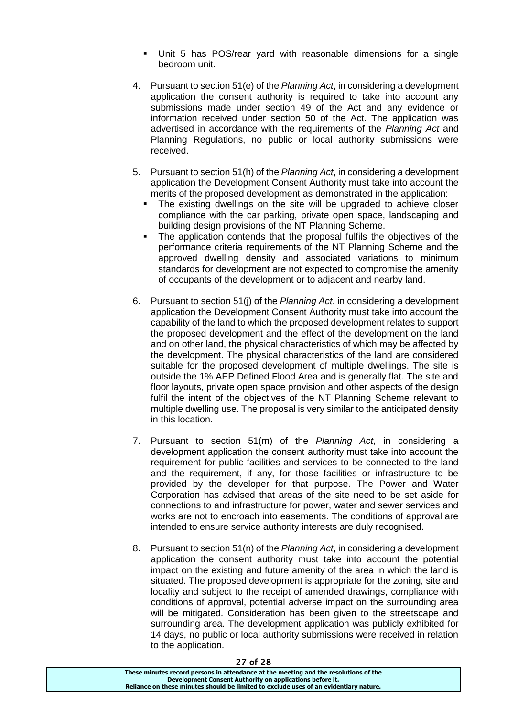- Unit 5 has POS/rear yard with reasonable dimensions for a single bedroom unit.
- 4. Pursuant to section 51(e) of the *Planning Act*, in considering a development application the consent authority is required to take into account any submissions made under section 49 of the Act and any evidence or information received under section 50 of the Act. The application was advertised in accordance with the requirements of the *Planning Act* and Planning Regulations, no public or local authority submissions were received.
- 5. Pursuant to section 51(h) of the *Planning Act*, in considering a development application the Development Consent Authority must take into account the merits of the proposed development as demonstrated in the application:
	- The existing dwellings on the site will be upgraded to achieve closer compliance with the car parking, private open space, landscaping and building design provisions of the NT Planning Scheme.
	- The application contends that the proposal fulfils the objectives of the performance criteria requirements of the NT Planning Scheme and the approved dwelling density and associated variations to minimum standards for development are not expected to compromise the amenity of occupants of the development or to adjacent and nearby land.
- 6. Pursuant to section 51(j) of the *Planning Act*, in considering a development application the Development Consent Authority must take into account the capability of the land to which the proposed development relates to support the proposed development and the effect of the development on the land and on other land, the physical characteristics of which may be affected by the development. The physical characteristics of the land are considered suitable for the proposed development of multiple dwellings. The site is outside the 1% AEP Defined Flood Area and is generally flat. The site and floor layouts, private open space provision and other aspects of the design fulfil the intent of the objectives of the NT Planning Scheme relevant to multiple dwelling use. The proposal is very similar to the anticipated density in this location.
- 7. Pursuant to section 51(m) of the *Planning Act*, in considering a development application the consent authority must take into account the requirement for public facilities and services to be connected to the land and the requirement, if any, for those facilities or infrastructure to be provided by the developer for that purpose. The Power and Water Corporation has advised that areas of the site need to be set aside for connections to and infrastructure for power, water and sewer services and works are not to encroach into easements. The conditions of approval are intended to ensure service authority interests are duly recognised.
- 8. Pursuant to section 51(n) of the *Planning Act*, in considering a development application the consent authority must take into account the potential impact on the existing and future amenity of the area in which the land is situated. The proposed development is appropriate for the zoning, site and locality and subject to the receipt of amended drawings, compliance with conditions of approval, potential adverse impact on the surrounding area will be mitigated. Consideration has been given to the streetscape and surrounding area. The development application was publicly exhibited for 14 days, no public or local authority submissions were received in relation to the application.